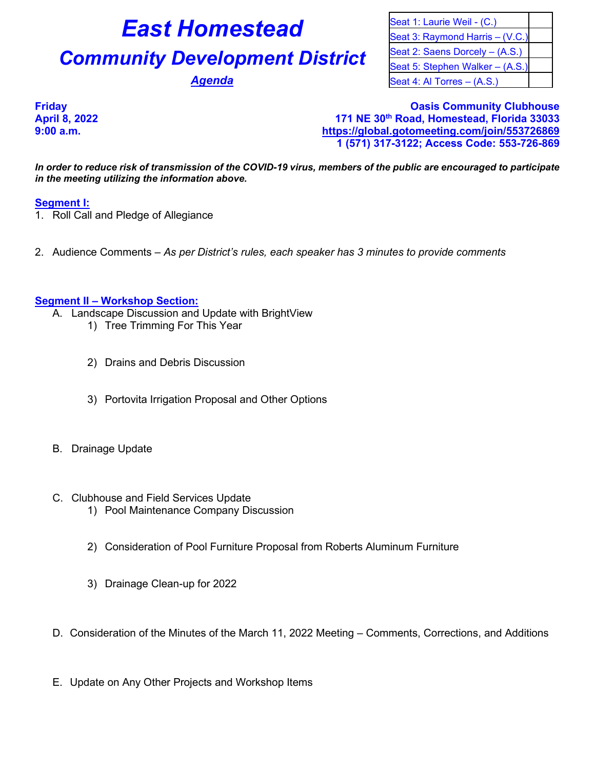# **East Homestead** Seat 1: Laurie Weil - (C.)

# **Community Development District** Seat 2: Saens Dorcely – (A.S.)

Seat 3: Raymond Harris – (V.C.) Seat 5: Stephen Walker – (A.S.) **Agenda** Seat 4: Al Torres – (A.S.)

**Friday Oasis Community Clubhouse April 8, 2022 171 NE 30th Road, Homestead, Florida 33033 9:00 a.m. <https://global.gotomeeting.com/join/553726869> 1 (571) 317-3122; Access Code: 553-726-869**

*In order to reduce risk of transmission of the COVID-19 virus, members of the public are encouraged to participate in the meeting utilizing the information above.*

## **Segment I:**

- 1. Roll Call and Pledge of Allegiance
- 2. Audience Comments *As per District's rules, each speaker has 3 minutes to provide comments*

#### **Segment II – Workshop Section:**

- A. Landscape Discussion and Update with BrightView
	- 1) Tree Trimming For This Year
	- 2) Drains and Debris Discussion
	- 3) Portovita Irrigation Proposal and Other Options
- B. Drainage Update
- C. Clubhouse and Field Services Update
	- 1) Pool Maintenance Company Discussion
	- 2) Consideration of Pool Furniture Proposal from Roberts Aluminum Furniture
	- 3) Drainage Clean-up for 2022
- D. Consideration of the Minutes of the March 11, 2022 Meeting Comments, Corrections, and Additions
- E. Update on Any Other Projects and Workshop Items